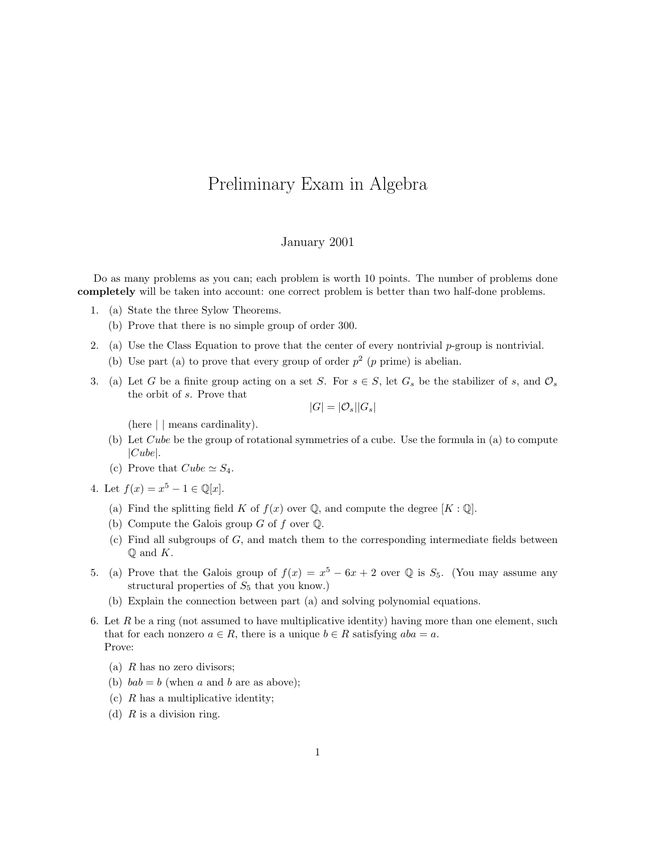## Preliminary Exam in Algebra

## January 2001

Do as many problems as you can; each problem is worth 10 points. The number of problems done completely will be taken into account: one correct problem is better than two half-done problems.

- 1. (a) State the three Sylow Theorems.
	- (b) Prove that there is no simple group of order 300.
- 2. (a) Use the Class Equation to prove that the center of every nontrivial  $p$ -group is nontrivial.
	- (b) Use part (a) to prove that every group of order  $p^2$  (p prime) is abelian.
- 3. (a) Let G be a finite group acting on a set S. For  $s \in S$ , let  $G_s$  be the stabilizer of s, and  $\mathcal{O}_s$ the orbit of s. Prove that

$$
|G|=|\mathcal{O}_s||G_s|
$$

(here | | means cardinality).

- (b) Let Cube be the group of rotational symmetries of a cube. Use the formula in (a) to compute  $|Cube|.$
- (c) Prove that  $Cube \simeq S_4$ .

4. Let  $f(x) = x^5 - 1 \in \mathbb{Q}[x]$ .

- (a) Find the splitting field K of  $f(x)$  over Q, and compute the degree  $[K:\mathbb{Q}]$ .
- (b) Compute the Galois group G of f over  $\mathbb Q$ .
- $(c)$  Find all subgroups of G, and match them to the corresponding intermediate fields between  $\mathbb{O}$  and  $K$ .
- 5. (a) Prove that the Galois group of  $f(x) = x^5 6x + 2$  over Q is  $S_5$ . (You may assume any structural properties of  $S_5$  that you know.)
	- (b) Explain the connection between part (a) and solving polynomial equations.
- 6. Let  $R$  be a ring (not assumed to have multiplicative identity) having more than one element, such that for each nonzero  $a \in R$ , there is a unique  $b \in R$  satisfying  $aba = a$ . Prove:
	- (a)  $R$  has no zero divisors;
	- (b)  $bab = b$  (when a and b are as above);
	- (c)  $R$  has a multiplicative identity;
	- (d)  $R$  is a division ring.